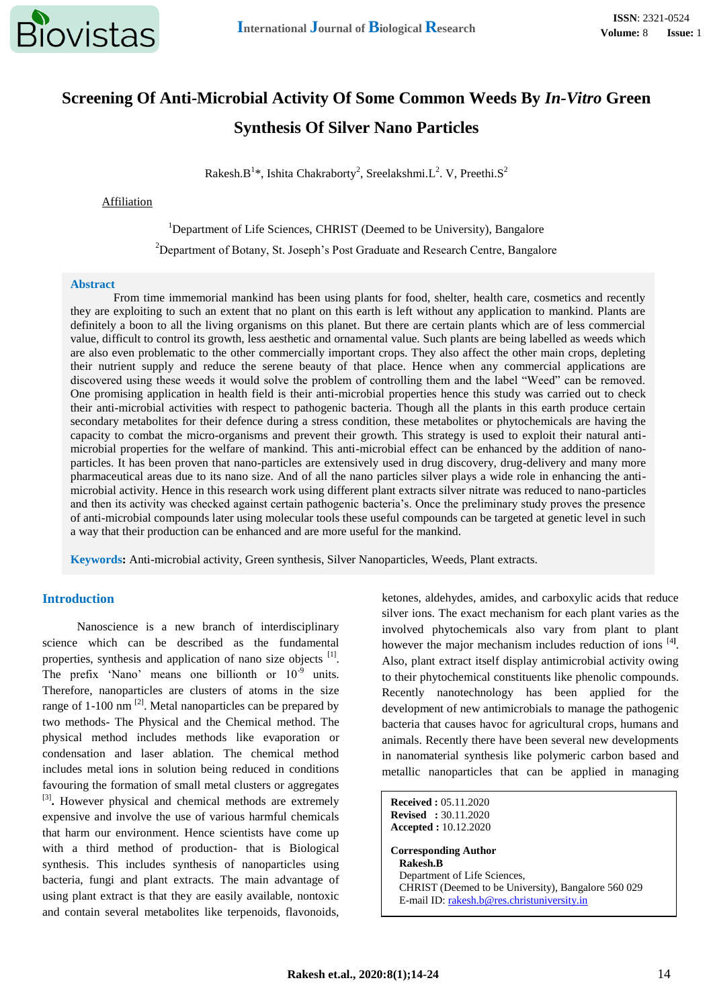

# **Screening Of Anti-Microbial Activity Of Some Common Weeds By** *In-Vitro* **Green Synthesis Of Silver Nano Particles**

Rakesh.B<sup>1</sup>\*, Ishita Chakraborty<sup>2</sup>, Sreelakshmi.L<sup>2</sup>. V, Preethi.S<sup>2</sup>

### Affiliation

### <sup>1</sup>Department of Life Sciences, CHRIST (Deemed to be University), Bangalore

<sup>2</sup>Department of Botany, St. Joseph's Post Graduate and Research Centre, Bangalore

### **Abstract**

From time immemorial mankind has been using plants for food, shelter, health care, cosmetics and recently they are exploiting to such an extent that no plant on this earth is left without any application to mankind. Plants are definitely a boon to all the living organisms on this planet. But there are certain plants which are of less commercial value, difficult to control its growth, less aesthetic and ornamental value. Such plants are being labelled as weeds which are also even problematic to the other commercially important crops. They also affect the other main crops, depleting their nutrient supply and reduce the serene beauty of that place. Hence when any commercial applications are discovered using these weeds it would solve the problem of controlling them and the label "Weed" can be removed. One promising application in health field is their anti-microbial properties hence this study was carried out to check their anti-microbial activities with respect to pathogenic bacteria. Though all the plants in this earth produce certain secondary metabolites for their defence during a stress condition, these metabolites or phytochemicals are having the capacity to combat the micro-organisms and prevent their growth. This strategy is used to exploit their natural antimicrobial properties for the welfare of mankind. This anti-microbial effect can be enhanced by the addition of nanoparticles. It has been proven that nano-particles are extensively used in drug discovery, drug-delivery and many more pharmaceutical areas due to its nano size. And of all the nano particles silver plays a wide role in enhancing the antimicrobial activity. Hence in this research work using different plant extracts silver nitrate was reduced to nano-particles and then its activity was checked against certain pathogenic bacteria's. Once the preliminary study proves the presence of anti-microbial compounds later using molecular tools these useful compounds can be targeted at genetic level in such a way that their production can be enhanced and are more useful for the mankind.

**Keywords:** Anti-microbial activity, Green synthesis, Silver Nanoparticles, Weeds, Plant extracts.

# **Introduction**

Nanoscience is a new branch of interdisciplinary science which can be described as the fundamental properties, synthesis and application of nano size objects [1]. The prefix 'Nano' means one billionth or  $10^{-9}$  units. Therefore, nanoparticles are clusters of atoms in the size range of 1-100 nm  $^{[2]}$ . Metal nanoparticles can be prepared by two methods- The Physical and the Chemical method. The physical method includes methods like evaporation or condensation and laser ablation. The chemical method includes metal ions in solution being reduced in conditions favouring the formation of small metal clusters or aggregates <sup>[3]</sup>. However physical and chemical methods are extremely expensive and involve the use of various harmful chemicals that harm our environment. Hence scientists have come up with a third method of production- that is Biological synthesis. This includes synthesis of nanoparticles using bacteria, fungi and plant extracts. The main advantage of using plant extract is that they are easily available, nontoxic and contain several metabolites like terpenoids, flavonoids,

ketones, aldehydes, amides, and carboxylic acids that reduce silver ions. The exact mechanism for each plant varies as the involved phytochemicals also vary from plant to plant however the major mechanism includes reduction of ions <sup>[4]</sup>. Also, plant extract itself display antimicrobial activity owing to their phytochemical constituents like phenolic compounds. Recently nanotechnology has been applied for the development of new antimicrobials to manage the pathogenic bacteria that causes havoc for agricultural crops, humans and animals. Recently there have been several new developments in nanomaterial synthesis like polymeric carbon based and metallic nanoparticles that can be applied in managing

**Received :** 05.11.2020 **Revised :** 30.11.2020 **Accepted :** 10.12.2020 **Corresponding Author Rakesh.B** Department of Life Sciences, CHRIST (Deemed to be University), Bangalore 560 029 E-mail ID[: rakesh.b@res.christuniversity.in](mailto:rakesh.b@res.christuniversity.in)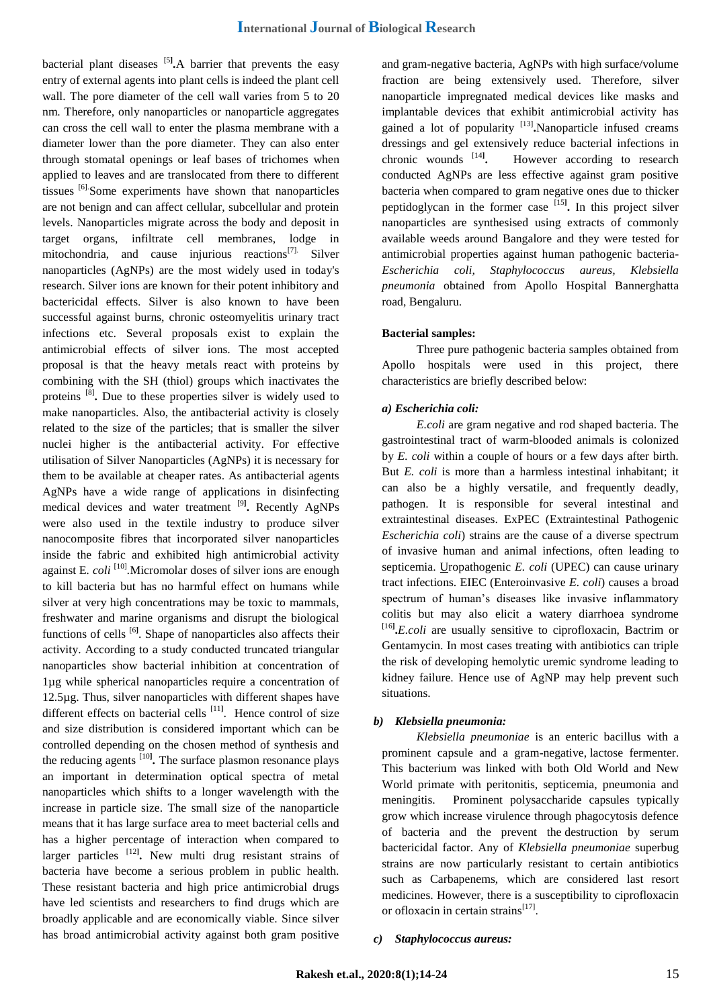bacterial plant diseases [5**] .**A barrier that prevents the easy entry of external agents into plant cells is indeed the plant cell wall. The pore diameter of the cell wall varies from 5 to 20 nm. Therefore, only nanoparticles or nanoparticle aggregates can cross the cell wall to enter the plasma membrane with a diameter lower than the pore diameter. They can also enter through stomatal openings or leaf bases of trichomes when applied to leaves and are translocated from there to different tissues [6].Some experiments have shown that nanoparticles are not benign and can affect cellular, subcellular and protein levels. Nanoparticles migrate across the body and deposit in target organs, infiltrate cell membranes, lodge in mitochondria, and cause injurious reactions<sup>[7].</sup> Silver nanoparticles (AgNPs) are the most widely used in today's research. Silver ions are known for their potent inhibitory and bactericidal effects. Silver is also known to have been successful against burns, chronic osteomyelitis urinary tract infections etc. Several proposals exist to explain the antimicrobial effects of silver ions. The most accepted proposal is that the heavy metals react with proteins by combining with the SH (thiol) groups which inactivates the proteins [8] **.** Due to these properties silver is widely used to make nanoparticles. Also, the antibacterial activity is closely related to the size of the particles; that is smaller the silver nuclei higher is the antibacterial activity. For effective utilisation of Silver Nanoparticles (AgNPs) it is necessary for them to be available at cheaper rates. As antibacterial agents AgNPs have a wide range of applications in disinfecting medical devices and water treatment [9**] .** Recently AgNPs were also used in the textile industry to produce silver nanocomposite fibres that incorporated silver nanoparticles inside the fabric and exhibited high antimicrobial activity against E*. coli* [10] *.*Micromolar doses of silver ions are enough to kill bacteria but has no harmful effect on humans while silver at very high concentrations may be toxic to mammals, freshwater and marine organisms and disrupt the biological functions of cells<sup>[6]</sup>. Shape of nanoparticles also affects their activity. According to a study conducted truncated triangular nanoparticles show bacterial inhibition at concentration of 1µg while spherical nanoparticles require a concentration of 12.5µg. Thus, silver nanoparticles with different shapes have different effects on bacterial cells [11**]** . Hence control of size and size distribution is considered important which can be controlled depending on the chosen method of synthesis and the reducing agents [10**] .** The surface plasmon resonance plays an important in determination optical spectra of metal nanoparticles which shifts to a longer wavelength with the increase in particle size. The small size of the nanoparticle means that it has large surface area to meet bacterial cells and has a higher percentage of interaction when compared to larger particles <sup>[12]</sup>. New multi drug resistant strains of bacteria have become a serious problem in public health. These resistant bacteria and high price antimicrobial drugs have led scientists and researchers to find drugs which are broadly applicable and are economically viable. Since silver has broad antimicrobial activity against both gram positive

and gram-negative bacteria, AgNPs with high surface/volume fraction are being extensively used. Therefore, silver nanoparticle impregnated medical devices like masks and implantable devices that exhibit antimicrobial activity has gained a lot of popularity <sup>[13]</sup>. Nanoparticle infused creams dressings and gel extensively reduce bacterial infections in chronic wounds [14**] .** However according to research conducted AgNPs are less effective against gram positive bacteria when compared to gram negative ones due to thicker peptidoglycan in the former case [15**] .** In this project silver nanoparticles are synthesised using extracts of commonly available weeds around Bangalore and they were tested for antimicrobial properties against human pathogenic bacteria-*Escherichia coli, Staphylococcus aureus, Klebsiella pneumonia* obtained from Apollo Hospital Bannerghatta road, Bengaluru.

### **Bacterial samples:**

Three pure pathogenic bacteria samples obtained from Apollo hospitals were used in this project, there characteristics are briefly described below:

### *a) Escherichia coli:*

*E.coli* are gram negative and rod shaped bacteria. The gastrointestinal tract of warm-blooded animals is colonized by *E. coli* within a couple of hours or a few days after birth. But *E. coli* is more than a harmless intestinal inhabitant; it can also be a highly versatile, and frequently deadly, pathogen. It is responsible for several intestinal and extraintestinal diseases. ExPEC (Extraintestinal Pathogenic *Escherichia coli*) strains are the cause of a diverse spectrum of invasive human and animal infections, often leading to septicemia. Uropathogenic *E. coli* (UPEC) can cause urinary tract infections. EIEC (Enteroinvasive *E. coli*) causes a broad spectrum of human's diseases like invasive inflammatory colitis but may also elicit a watery diarrhoea syndrome [16**] .***E.coli* are usually sensitive to ciprofloxacin, Bactrim or Gentamycin. In most cases treating with antibiotics can triple the risk of developing hemolytic uremic syndrome leading to kidney failure. Hence use of AgNP may help prevent such situations.

# *b) Klebsiella pneumonia:*

*Klebsiella pneumoniae* is an enteric bacillus with a prominent capsule and a gram-negative, lactose fermenter. This bacterium was linked with both Old World and New World primate with peritonitis, septicemia, pneumonia and meningitis. Prominent polysaccharide capsules typically grow which increase virulence through phagocytosis defence of bacteria and the prevent the destruction by serum bactericidal factor. Any of *Klebsiella pneumoniae* superbug strains are now particularly resistant to certain antibiotics such as Carbapenems, which are considered last resort medicines. However, there is a susceptibility to ciprofloxacin or ofloxacin in certain strains<sup>[17]</sup>.

#### *c) Staphylococcus aureus:*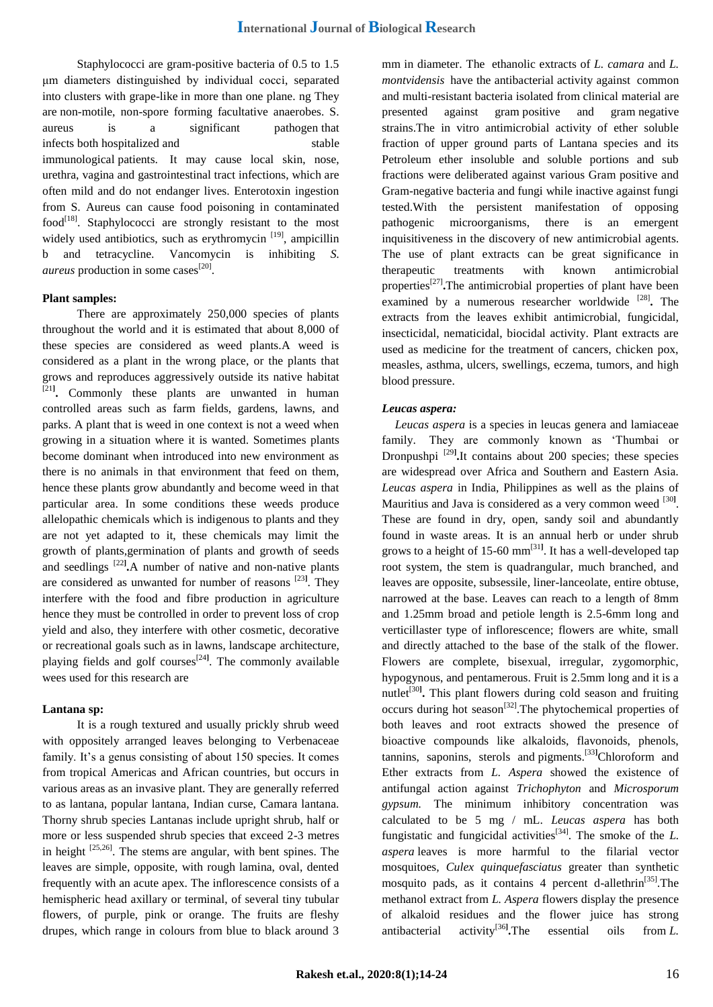Staphylococci are gram-positive bacteria of 0.5 to 1.5 μm diameters distinguished by individual cocci, separated into clusters with grape-like in more than one plane. ng They are non-motile, non-spore forming facultative anaerobes. S. aureus is a significant pathogen that infects both hospitalized and stable immunological patients. It may cause local skin, nose, urethra, vagina and gastrointestinal tract infections, which are often mild and do not endanger lives. Enterotoxin ingestion from S. Aureus can cause food poisoning in contaminated  $food<sup>[18]</sup>$ . Staphylococci are strongly resistant to the most widely used antibiotics, such as erythromycin<sup>[19]</sup>, ampicillin b and tetracycline. Vancomycin is inhibiting *S. aureus* production in some cases<sup>[20]</sup>.

# **Plant samples:**

There are approximately 250,000 species of plants throughout the world and it is estimated that about 8,000 of these species are considered as weed plants.A weed is considered as a plant in the wrong place, or the plants that grows and reproduces aggressively outside its native habitat [21**] .** Commonly these plants are unwanted in human controlled areas such as farm fields, gardens, lawns, and parks. A plant that is weed in one context is not a weed when growing in a situation where it is wanted. Sometimes plants become dominant when introduced into new environment as there is no animals in that environment that feed on them, hence these plants grow abundantly and become weed in that particular area. In some conditions these weeds produce allelopathic chemicals which is indigenous to plants and they are not yet adapted to it, these chemicals may limit the growth of plants,germination of plants and growth of seeds and seedlings [22**] .**A number of native and non-native plants are considered as unwanted for number of reasons [23**]** . They interfere with the food and fibre production in agriculture hence they must be controlled in order to prevent loss of crop yield and also, they interfere with other cosmetic, decorative or recreational goals such as in lawns, landscape architecture, playing fields and golf courses<sup>[24]</sup>. The commonly available wees used for this research are

# **Lantana sp:**

It is a rough textured and usually prickly shrub weed with oppositely arranged leaves belonging to Verbenaceae family. It's a genus consisting of about 150 species. It comes from tropical Americas and African countries, but occurs in various areas as an invasive plant. They are generally referred to as lantana, popular lantana, Indian curse, Camara lantana. Thorny shrub species Lantanas include upright shrub, half or more or less suspended shrub species that exceed 2-3 metres in height [25,26]. The stems are angular, with bent spines. The leaves are simple, opposite, with rough lamina, oval, dented frequently with an acute apex. The inflorescence consists of a hemispheric head axillary or terminal, of several tiny tubular flowers, of purple, pink or orange. The fruits are fleshy drupes, which range in colours from blue to black around 3

mm in diameter. The ethanolic extracts of *L. camara* and *L. montvidensis* have the antibacterial activity against common and multi-resistant bacteria isolated from clinical material are presented against gram positive and gram negative strains.The in vitro antimicrobial activity of ether soluble fraction of upper ground parts of Lantana species and its Petroleum ether insoluble and soluble portions and sub fractions were deliberated against various Gram positive and Gram-negative bacteria and fungi while inactive against fungi tested.With the persistent manifestation of opposing pathogenic microorganisms, there is an emergent inquisitiveness in the discovery of new antimicrobial agents. The use of plant extracts can be great significance in therapeutic treatments with known antimicrobial properties<sup>[27]</sup>. The antimicrobial properties of plant have been examined by a numerous researcher worldwide <sup>[28]</sup>. The extracts from the leaves exhibit antimicrobial, fungicidal, insecticidal, nematicidal, biocidal activity. Plant extracts are used as medicine for the treatment of cancers, chicken pox, measles, asthma, ulcers, swellings, eczema, tumors, and high blood pressure.

# *Leucas aspera:*

*Leucas aspera* is a species in leucas genera and lamiaceae family. They are commonly known as "Thumbai or Dronpushpi [29**] .**It contains about 200 species; these species are widespread over Africa and Southern and Eastern Asia. *Leucas aspera* in India, Philippines as well as the plains of Mauritius and Java is considered as a very common weed <sup>[30]</sup>. These are found in dry, open, sandy soil and abundantly found in waste areas. It is an annual herb or under shrub grows to a height of 15-60 mm[31**]** . It has a well-developed tap root system, the stem is quadrangular, much branched, and leaves are opposite, subsessile, liner-lanceolate, entire obtuse, narrowed at the base. Leaves can reach to a length of 8mm and 1.25mm broad and petiole length is 2.5-6mm long and verticillaster type of inflorescence; flowers are white, small and directly attached to the base of the stalk of the flower. Flowers are complete, bisexual, irregular, zygomorphic, hypogynous, and pentamerous. Fruit is 2.5mm long and it is a nutlet<sup>[30]</sup>. This plant flowers during cold season and fruiting occurs during hot season<sup>[32]</sup>. The phytochemical properties of both leaves and root extracts showed the presence of bioactive compounds like alkaloids, flavonoids, phenols, tannins, saponins, sterols and pigments.[33**]**Chloroform and Ether extracts from *L. Aspera* showed the existence of antifungal action against *Trichophyton* and *Microsporum gypsum.* The minimum inhibitory concentration was calculated to be 5 mg / mL. *Leucas aspera* has both fungistatic and fungicidal activities<sup>[34]</sup>. The smoke of the  $L$ . *aspera* leaves is more harmful to the filarial vector mosquitoes*, Culex quinquefasciatus* greater than synthetic mosquito pads, as it contains 4 percent d-allethrin<sup>[35]</sup>. The methanol extract from *L. Aspera* flowers display the presence of alkaloid residues and the flower juice has strong antibacterial activity<sup>[36]</sup>. The **essential** oils from *L*.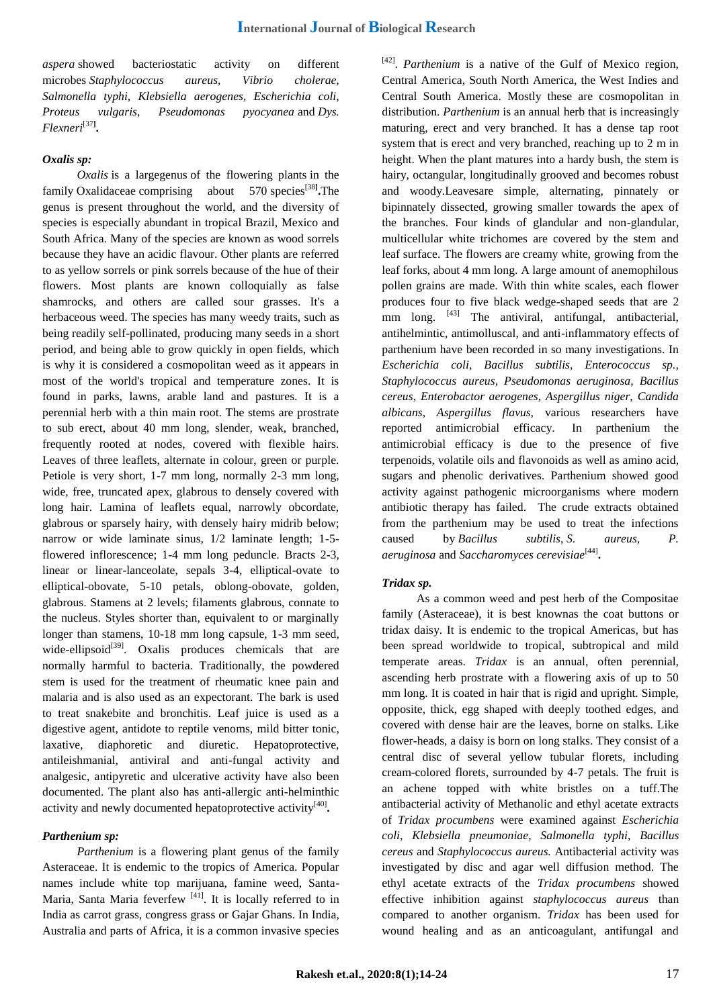*aspera* showed bacteriostatic activity on different microbes *Staphylococcus aureus, Vibrio cholerae, Salmonella typhi, Klebsiella aerogenes, Escherichia coli, Proteus vulgaris, Pseudomonas pyocyanea* and *Dys. Flexneri*[37**] .**

# *Oxalis sp:*

*Oxalis* is a larg[egenus](https://en.wikipedia.org/wiki/Genus) of the [flowering plants](https://en.wikipedia.org/wiki/Flowering_plants) in the family [Oxalidaceae](https://en.wikipedia.org/wiki/Oxalidaceae) comprising about 570 [species](https://en.wikipedia.org/wiki/Species)<sup>[38]</sup>. The genus is present throughout the world, and the diversity of species is especially abundant in tropical Brazil, Mexico and South Africa. Many of the species are known as wood sorrels because they have an acidic flavour. Other plants are referred to as yellow sorrels or pink sorrels because of the hue of their flowers. Most plants are known colloquially as false shamrocks, and others are called sour grasses. It's a herbaceous weed. The species has many weedy traits, such as being readily self-pollinated, producing many seeds in a short period, and being able to grow quickly in open fields, which is why it is considered a cosmopolitan weed as it appears in most of the world's tropical and temperature zones. It is found in parks, lawns, arable land and pastures. It is a perennial herb with a thin main root. The stems are prostrate to sub erect, about 40 mm long, slender, weak, branched, frequently rooted at nodes, covered with flexible hairs. Leaves of three leaflets, alternate in colour, green or purple. Petiole is very short, 1-7 mm long, normally 2-3 mm long, wide, free, truncated apex, glabrous to densely covered with long hair. Lamina of leaflets equal, narrowly obcordate, glabrous or sparsely hairy, with densely hairy midrib below; narrow or wide laminate sinus, 1/2 laminate length; 1-5 flowered inflorescence; 1-4 mm long peduncle. Bracts 2-3, linear or linear-lanceolate, sepals 3-4, elliptical-ovate to elliptical-obovate, 5-10 petals, oblong-obovate, golden, glabrous. Stamens at 2 levels; filaments glabrous, connate to the nucleus. Styles shorter than, equivalent to or marginally longer than stamens, 10-18 mm long capsule, 1-3 mm seed, wide-ellipsoid $[39]$ . Oxalis produces chemicals that are normally harmful to bacteria. Traditionally, the powdered stem is used for the treatment of rheumatic knee pain and malaria and is also used as an expectorant. The bark is used to treat snakebite and bronchitis. Leaf juice is used as a digestive agent, antidote to reptile venoms, mild bitter tonic, laxative, diaphoretic and diuretic. Hepatoprotective, antileishmanial, antiviral and anti-fungal activity and analgesic, antipyretic and ulcerative activity have also been documented. The plant also has anti-allergic anti-helminthic activity and newly documented hepatoprotective activity<sup>[40]</sup>.

# *Parthenium sp:*

*Parthenium* is a flowering plant genus of the family Asteraceae. It is endemic to the tropics of America. Popular names include white top marijuana, famine weed, Santa-Maria, Santa Maria feverfew  $[41]$ . It is locally referred to in India as carrot grass, congress grass or Gajar Ghans. In India, Australia and parts of Africa, it is a common invasive species

<sup>[42]</sup>. *Parthenium* is a native of the Gulf of Mexico region, Central America, South North America, the West Indies and Central South America. Mostly these are cosmopolitan in distribution. *Parthenium* is an annual herb that is increasingly maturing, erect and very branched. It has a dense tap root system that is erect and very branched, reaching up to 2 m in height. When the plant matures into a hardy bush, the stem is hairy, octangular, longitudinally grooved and becomes robust and woody.Leavesare simple, alternating, pinnately or bipinnately dissected, growing smaller towards the apex of the branches. Four kinds of glandular and non-glandular, multicellular white trichomes are covered by the stem and leaf surface. The flowers are creamy white, growing from the leaf forks, about 4 mm long. A large amount of anemophilous pollen grains are made. With thin white scales, each flower produces four to five black wedge-shaped seeds that are 2 mm long. <sup>[43]</sup> The antiviral, antifungal, antibacterial, antihelmintic, antimolluscal, and anti-inflammatory effects of parthenium have been recorded in so many investigations. In *Escherichia coli, Bacillus subtilis, Enterococcus sp., Staphylococcus aureus, Pseudomonas aeruginosa, Bacillus cereus, Enterobactor aerogenes, Aspergillus niger, Candida albicans, Aspergillus flavus,* various researchers have reported antimicrobial efficacy. In parthenium the antimicrobial efficacy is due to the presence of five terpenoids, volatile oils and flavonoids as well as [amino acid,](http://www.scialert.net/asci/result.php?searchin=Keywords&cat=&ascicat=ALL&Submit=Search&keyword=amino+acid) sugars and phenolic derivatives. Parthenium showed good activity against pathogenic microorganisms where modern antibiotic therapy has failed. The crude extracts obtained from the parthenium may be used to treat the infections caused by *[Bacillus subtilis](http://www.scialert.net/asci/result.php?searchin=Keywords&cat=&ascicat=ALL&Submit=Search&keyword=Bacillus+subtilis)*, *S. aureus, P. aeruginosa* and *[Saccharomyces cerevisiae](http://www.scialert.net/asci/result.php?searchin=Keywords&cat=&ascicat=ALL&Submit=Search&keyword=Saccharomyces+cerevisiae)*[44] **.**

# *Tridax sp.*

As a common weed and pest herb of the Compositae family (Asteraceae), it is best knownas the coat buttons or tridax daisy. It is endemic to the tropical Americas, but has been spread worldwide to tropical, subtropical and mild temperate areas. *Tridax* is an annual, often perennial, ascending herb prostrate with a flowering axis of up to 50 mm long. It is coated in hair that is rigid and upright. Simple, opposite, thick, egg shaped with deeply toothed edges, and covered with dense hair are the leaves, borne on stalks. Like flower-heads, a daisy is born on long stalks. They consist of a central disc of several yellow tubular florets, including cream-colored florets, surrounded by 4-7 petals. The fruit is an achene topped with white bristles on a tuff.The antibacterial activity of Methanolic and ethyl acetate extracts of *Tridax procumbens* were examined against *Escherichia coli*, *Klebsiella pneumoniae*, *Salmonella typhi*, *Bacillus cereus* and *Staphylococcus aureus.* Antibacterial activity was investigated by disc and agar well diffusion method. The ethyl acetate extracts of the *Tridax procumbens* showed effective inhibition against *staphylococcus aureus* than compared to another organism. *Tridax* has been used for wound healing and as an anticoagulant, antifungal and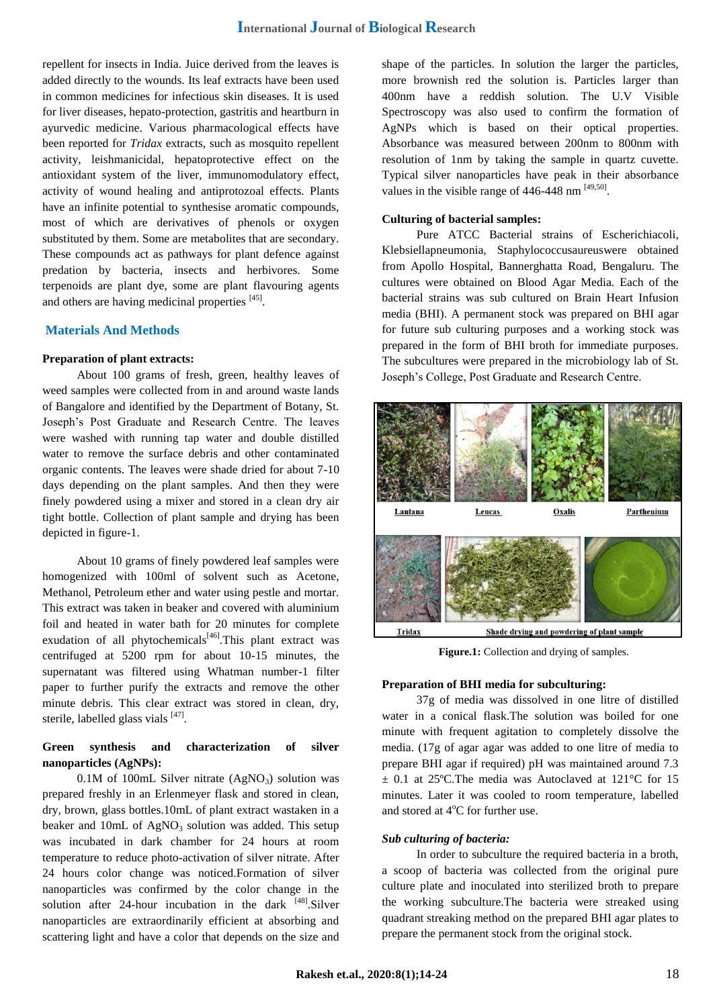repellent for insects in India. Juice derived from the leaves is added directly to the wounds. Its leaf extracts have been used in common medicines for infectious skin diseases. It is used for liver diseases, hepato-protection, gastritis and heartburn in ayurvedic medicine. Various pharmacological effects have been reported for *Tridax* extracts, such as mosquito repellent activity, leishmanicidal, hepatoprotective effect on the antioxidant system of the liver, immunomodulatory effect, activity of wound healing and antiprotozoal effects. Plants have an infinite potential to synthesise aromatic compounds, most of which are derivatives of phenols or oxygen substituted by them. Some are metabolites that are secondary. These compounds act as pathways for plant defence against predation by bacteria, insects and herbivores. Some terpenoids are plant dye, some are plant flavouring agents and others are having medicinal properties [45].

# **Materials And Methods**

### **Preparation of plant extracts:**

About 100 grams of fresh, green, healthy leaves of weed samples were collected from in and around waste lands of Bangalore and identified by the Department of Botany, St. Joseph"s Post Graduate and Research Centre. The leaves were washed with running tap water and double distilled water to remove the surface debris and other contaminated organic contents. The leaves were shade dried for about 7-10 days depending on the plant samples. And then they were finely powdered using a mixer and stored in a clean dry air tight bottle. Collection of plant sample and drying has been depicted in figure-1.

About 10 grams of finely powdered leaf samples were homogenized with 100ml of solvent such as Acetone, Methanol, Petroleum ether and water using pestle and mortar. This extract was taken in beaker and covered with aluminium foil and heated in water bath for 20 minutes for complete exudation of all phytochemicals<sup>[46]</sup>. This plant extract was centrifuged at 5200 rpm for about 10-15 minutes, the supernatant was filtered using Whatman number-1 filter paper to further purify the extracts and remove the other minute debris. This clear extract was stored in clean, dry, sterile, labelled glass vials [47].

# **Green synthesis and characterization of silver nanoparticles (AgNPs):**

0.1M of 100mL Silver nitrate  $(AgNO_3)$  solution was prepared freshly in an Erlenmeyer flask and stored in clean, dry, brown, glass bottles.10mL of plant extract wastaken in a beaker and 10mL of  $AgNO<sub>3</sub>$  solution was added. This setup was incubated in dark chamber for 24 hours at room temperature to reduce photo-activation of silver nitrate. After 24 hours color change was noticed.Formation of silver nanoparticles was confirmed by the color change in the solution after 24-hour incubation in the dark  $[48]$ . Silver nanoparticles are extraordinarily efficient at absorbing and scattering light and have a color that depends on the size and

shape of the particles. In solution the larger the particles, more brownish red the solution is. Particles larger than 400nm have a reddish solution. The U.V Visible Spectroscopy was also used to confirm the formation of AgNPs which is based on their optical properties. Absorbance was measured between 200nm to 800nm with resolution of 1nm by taking the sample in quartz cuvette. Typical silver nanoparticles have peak in their absorbance values in the visible range of  $446-448$  nm  $^{[49,50]}$ .

# **Culturing of bacterial samples:**

Pure ATCC Bacterial strains of Escherichiacoli, Klebsiellapneumonia, Staphylococcusaureuswere obtained from Apollo Hospital, Bannerghatta Road, Bengaluru. The cultures were obtained on Blood Agar Media. Each of the bacterial strains was sub cultured on Brain Heart Infusion media (BHI). A permanent stock was prepared on BHI agar for future sub culturing purposes and a working stock was prepared in the form of BHI broth for immediate purposes. The subcultures were prepared in the microbiology lab of St. Joseph"s College, Post Graduate and Research Centre.



**Figure.1:** Collection and drying of samples.

### **Preparation of BHI media for subculturing:**

37g of media was dissolved in one litre of distilled water in a conical flask.The solution was boiled for one minute with frequent agitation to completely dissolve the media. (17g of agar agar was added to one litre of media to prepare BHI agar if required) pH was maintained around 7.3  $\pm$  0.1 at 25°C. The media was Autoclaved at 121°C for 15 minutes. Later it was cooled to room temperature, labelled and stored at 4°C for further use.

### *Sub culturing of bacteria:*

In order to subculture the required bacteria in a broth, a scoop of bacteria was collected from the original pure culture plate and inoculated into sterilized broth to prepare the working subculture.The bacteria were streaked using quadrant streaking method on the prepared BHI agar plates to prepare the permanent stock from the original stock.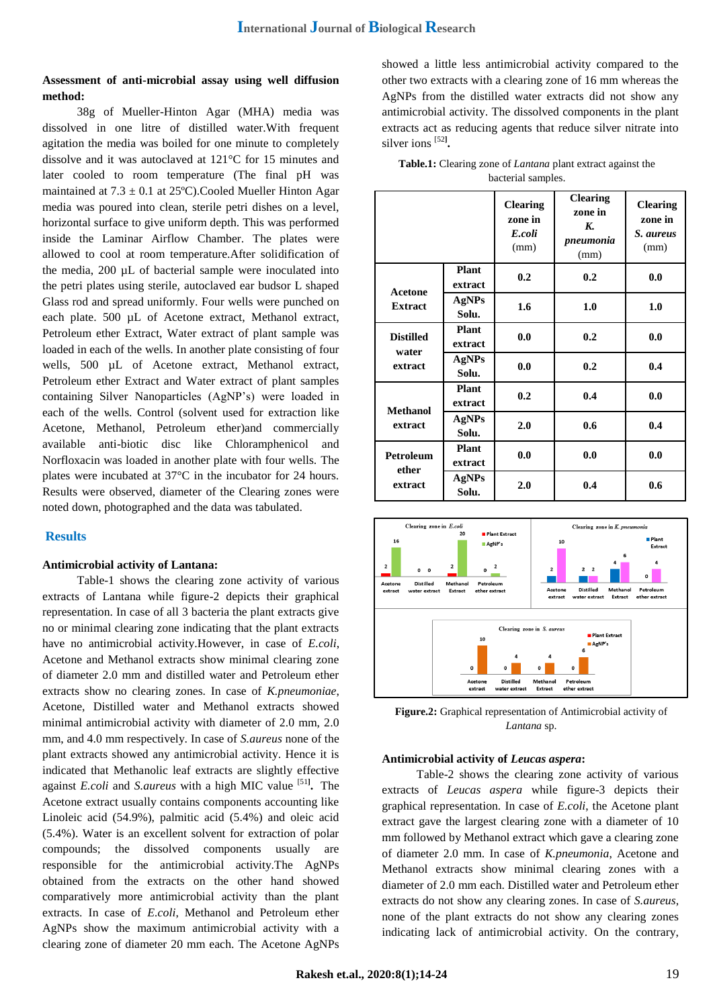# **Assessment of anti-microbial assay using well diffusion method:**

38g of Mueller-Hinton Agar (MHA) media was dissolved in one litre of distilled water.With frequent agitation the media was boiled for one minute to completely dissolve and it was autoclaved at 121°C for 15 minutes and later cooled to room temperature (The final pH was maintained at  $7.3 \pm 0.1$  at  $25^{\circ}$ C). Cooled Mueller Hinton Agar media was poured into clean, sterile petri dishes on a level, horizontal surface to give uniform depth. This was performed inside the Laminar Airflow Chamber. The plates were allowed to cool at room temperature.After solidification of the media, 200 µL of bacterial sample were inoculated into the petri plates using sterile, autoclaved ear budsor L shaped Glass rod and spread uniformly. Four wells were punched on each plate. 500 µL of Acetone extract, Methanol extract, Petroleum ether Extract, Water extract of plant sample was loaded in each of the wells. In another plate consisting of four wells, 500 µL of Acetone extract, Methanol extract, Petroleum ether Extract and Water extract of plant samples containing Silver Nanoparticles (AgNP"s) were loaded in each of the wells. Control (solvent used for extraction like Acetone, Methanol, Petroleum ether)and commercially available anti-biotic disc like Chloramphenicol and Norfloxacin was loaded in another plate with four wells. The plates were incubated at 37°C in the incubator for 24 hours. Results were observed, diameter of the Clearing zones were noted down, photographed and the data was tabulated.

# **Results**

# **Antimicrobial activity of Lantana:**

Table-1 shows the clearing zone activity of various extracts of Lantana while figure-2 depicts their graphical representation. In case of all 3 bacteria the plant extracts give no or minimal clearing zone indicating that the plant extracts have no antimicrobial activity.However, in case of *E.coli*, Acetone and Methanol extracts show minimal clearing zone of diameter 2.0 mm and distilled water and Petroleum ether extracts show no clearing zones. In case of *K.pneumoniae*, Acetone, Distilled water and Methanol extracts showed minimal antimicrobial activity with diameter of 2.0 mm, 2.0 mm, and 4.0 mm respectively. In case of *S.aureus* none of the plant extracts showed any antimicrobial activity. Hence it is indicated that Methanolic leaf extracts are slightly effective against *E.coli* and *S.aureus* with a high MIC value [51**] .** The Acetone extract usually contains components accounting like Linoleic acid (54.9%), palmitic acid (5.4%) and oleic acid (5.4%). Water is an excellent solvent for extraction of polar compounds; the dissolved components usually are responsible for the antimicrobial activity.The AgNPs obtained from the extracts on the other hand showed comparatively more antimicrobial activity than the plant extracts. In case of *E.coli*, Methanol and Petroleum ether AgNPs show the maximum antimicrobial activity with a clearing zone of diameter 20 mm each. The Acetone AgNPs

showed a little less antimicrobial activity compared to the other two extracts with a clearing zone of 16 mm whereas the AgNPs from the distilled water extracts did not show any antimicrobial activity. The dissolved components in the plant extracts act as reducing agents that reduce silver nitrate into silver ions [52**] .**

| <b>Table.1:</b> Clearing zone of <i>Lantana</i> plant extract against the |
|---------------------------------------------------------------------------|
| bacterial samples.                                                        |

|                                      |                         | <b>Clearing</b><br>zone in<br>E.coli<br>(mm) | <b>Clearing</b><br>zone in<br>K.<br>pneumonia<br>(mm) | <b>Clearing</b><br>zone in<br>S. aureus<br>(mm) |
|--------------------------------------|-------------------------|----------------------------------------------|-------------------------------------------------------|-------------------------------------------------|
| <b>Acetone</b>                       | Plant<br>extract        | 0.2                                          | 0.2                                                   | 0.0                                             |
| <b>Extract</b>                       | AgNPs<br>Solu.          | 1.6                                          | 1.0                                                   | 1.0                                             |
| <b>Distilled</b><br>water<br>extract | <b>Plant</b><br>extract | 0.0                                          | 0.2                                                   | 0.0                                             |
|                                      | AgNPs<br>Solu.          | 0.0                                          | 0.2                                                   | 0.4                                             |
|                                      | <b>Plant</b><br>extract | 0.2                                          | 0.4                                                   | 0.0                                             |
| <b>Methanol</b><br>extract           | AgNPs<br>Solu.          | 2.0                                          | 0.6                                                   | 0.4                                             |
| <b>Petroleum</b><br>ether<br>extract | <b>Plant</b><br>extract | 0.0                                          | 0.0                                                   | 0.0                                             |
|                                      | AgNPs<br>Solu.          | 2.0                                          | 0.4                                                   | 0.6                                             |



**Figure.2:** Graphical representation of Antimicrobial activity of *Lantana* sp.

### **Antimicrobial activity of** *Leucas aspera***:**

Table-2 shows the clearing zone activity of various extracts of *Leucas aspera* while figure-3 depicts their graphical representation. In case of *E.coli*, the Acetone plant extract gave the largest clearing zone with a diameter of 10 mm followed by Methanol extract which gave a clearing zone of diameter 2.0 mm. In case of *K.pneumonia*, Acetone and Methanol extracts show minimal clearing zones with a diameter of 2.0 mm each. Distilled water and Petroleum ether extracts do not show any clearing zones. In case of *S.aureus*, none of the plant extracts do not show any clearing zones indicating lack of antimicrobial activity. On the contrary,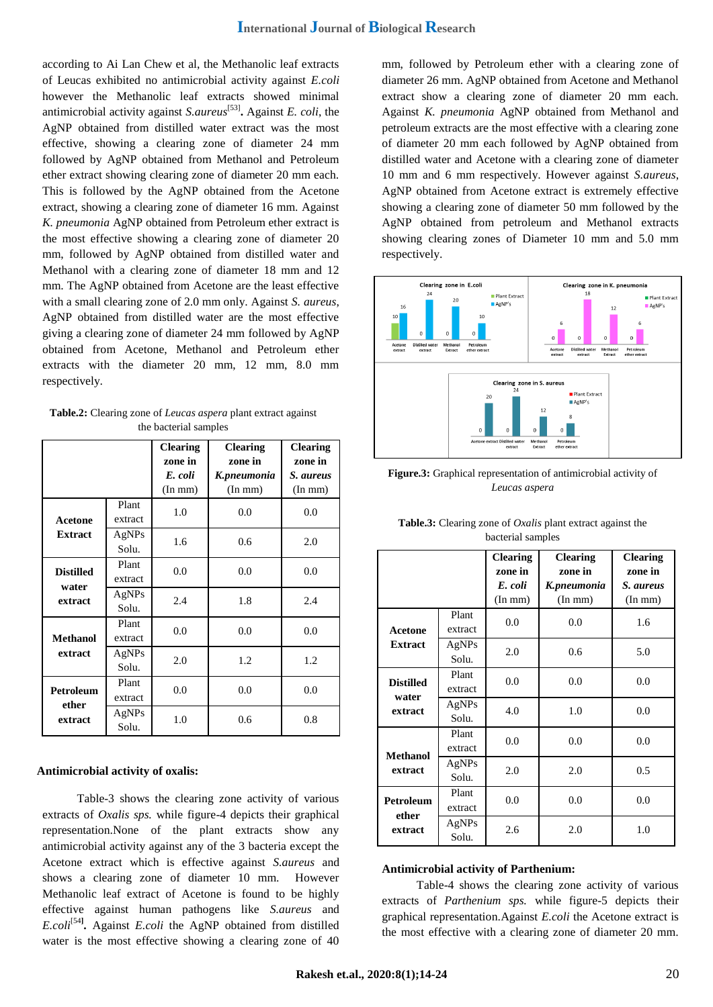according to Ai Lan Chew et al, the Methanolic leaf extracts of Leucas exhibited no antimicrobial activity against *E.coli* however the Methanolic leaf extracts showed minimal antimicrobial activity against *S.aureus*[53] **.** Against *E. coli*, the AgNP obtained from distilled water extract was the most effective, showing a clearing zone of diameter 24 mm followed by AgNP obtained from Methanol and Petroleum ether extract showing clearing zone of diameter 20 mm each. This is followed by the AgNP obtained from the Acetone extract, showing a clearing zone of diameter 16 mm. Against *K. pneumonia* AgNP obtained from Petroleum ether extract is the most effective showing a clearing zone of diameter 20 mm, followed by AgNP obtained from distilled water and Methanol with a clearing zone of diameter 18 mm and 12 mm. The AgNP obtained from Acetone are the least effective with a small clearing zone of 2.0 mm only. Against *S. aureus*, AgNP obtained from distilled water are the most effective giving a clearing zone of diameter 24 mm followed by AgNP obtained from Acetone, Methanol and Petroleum ether extracts with the diameter 20 mm, 12 mm, 8.0 mm respectively.

**Table.2:** Clearing zone of *Leucas aspera* plant extract against the bacterial samples

|                                    |                  | <b>Clearing</b><br>zone in<br>E. coli<br>(In m m) | <b>Clearing</b><br>zone in<br>K.pneumonia<br>(In m m) | <b>Clearing</b><br>zone in<br>S. aureus<br>(In m m) |
|------------------------------------|------------------|---------------------------------------------------|-------------------------------------------------------|-----------------------------------------------------|
| Plant<br>extract<br><b>Acetone</b> |                  | 1.0                                               | 0.0                                                   | 0.0                                                 |
| <b>Extract</b>                     | AgNPs<br>Solu.   | 1.6                                               | 0.6                                                   | 2.0                                                 |
| <b>Distilled</b>                   | Plant<br>extract | 0.0                                               | 0.0                                                   | 0.0                                                 |
| water<br>extract                   | AgNPs<br>Solu.   | 2.4                                               | 1.8                                                   | 2.4                                                 |
| <b>Methanol</b>                    | Plant<br>extract | 0.0                                               | 0.0                                                   | 0.0                                                 |
| extract                            | AgNPs<br>Solu.   | 2.0                                               | 1.2                                                   | 1.2                                                 |
| Petroleum                          | Plant<br>extract | 0.0                                               | 0.0                                                   | 0.0                                                 |
| ether<br>extract                   | AgNPs<br>Solu.   | 1.0                                               | 0.6                                                   | 0.8                                                 |

# **Antimicrobial activity of oxalis:**

Table-3 shows the clearing zone activity of various extracts of *Oxalis sps.* while figure-4 depicts their graphical representation.None of the plant extracts show any antimicrobial activity against any of the 3 bacteria except the Acetone extract which is effective against *S.aureus* and shows a clearing zone of diameter 10 mm. However Methanolic leaf extract of Acetone is found to be highly effective against human pathogens like *S.aureus* and *E.coli*[54**] .** Against *E.coli* the AgNP obtained from distilled water is the most effective showing a clearing zone of 40

mm, followed by Petroleum ether with a clearing zone of diameter 26 mm. AgNP obtained from Acetone and Methanol extract show a clearing zone of diameter 20 mm each. Against *K. pneumonia* AgNP obtained from Methanol and petroleum extracts are the most effective with a clearing zone of diameter 20 mm each followed by AgNP obtained from distilled water and Acetone with a clearing zone of diameter 10 mm and 6 mm respectively. However against *S.aureus*, AgNP obtained from Acetone extract is extremely effective showing a clearing zone of diameter 50 mm followed by the AgNP obtained from petroleum and Methanol extracts showing clearing zones of Diameter 10 mm and 5.0 mm respectively.



**Figure.3:** Graphical representation of antimicrobial activity of *Leucas aspera*

|                                      |                  | <b>Clearing</b><br>zone in<br>E. coli<br>(In m m) | <b>Clearing</b><br>zone in<br>K.pneumonia<br>(In m m) | <b>Clearing</b><br>zone in<br>S. aureus<br>(In m m) |
|--------------------------------------|------------------|---------------------------------------------------|-------------------------------------------------------|-----------------------------------------------------|
| Acetone<br><b>Extract</b>            | Plant<br>extract | 0.0                                               | 0.0                                                   | 1.6                                                 |
|                                      | AgNPs<br>Solu.   | 2.0                                               | 0.6                                                   | 5.0                                                 |
| <b>Distilled</b><br>water<br>extract | Plant<br>extract | 0.0                                               | 0.0                                                   | 0.0                                                 |
|                                      | AgNPs<br>Solu.   | 4.0                                               | 1.0                                                   | 0.0                                                 |
| <b>Methanol</b><br>extract           | Plant<br>extract | 0.0                                               | 0.0                                                   | 0.0                                                 |
|                                      | AgNPs<br>Solu.   | 2.0                                               | 2.0                                                   | 0.5                                                 |
| Petroleum<br>ether<br>extract        | Plant<br>extract | 0.0                                               | 0.0                                                   | 0.0                                                 |
|                                      | AgNPs<br>Solu.   | 2.6                                               | 2.0                                                   | 1.0                                                 |

**Table.3:** Clearing zone of *Oxalis* plant extract against the bacterial samples

### **Antimicrobial activity of Parthenium:**

Table-4 shows the clearing zone activity of various extracts of *Parthenium sps.* while figure-5 depicts their graphical representation.Against *E.coli* the Acetone extract is the most effective with a clearing zone of diameter 20 mm.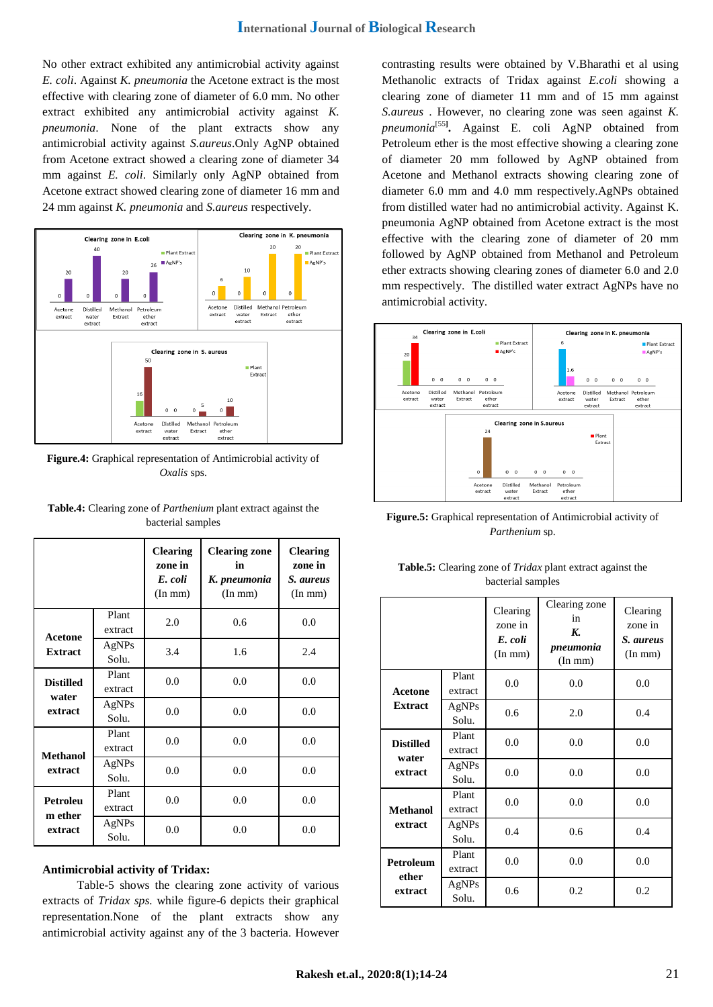No other extract exhibited any antimicrobial activity against *E. coli*. Against *K. pneumonia* the Acetone extract is the most effective with clearing zone of diameter of 6.0 mm. No other extract exhibited any antimicrobial activity against *K. pneumonia*. None of the plant extracts show any antimicrobial activity against *S.aureus*.Only AgNP obtained from Acetone extract showed a clearing zone of diameter 34 mm against *E. coli*. Similarly only AgNP obtained from Acetone extract showed clearing zone of diameter 16 mm and 24 mm against *K. pneumonia* and *S.aureus* respectively.



**Figure.4:** Graphical representation of Antimicrobial activity of *Oxalis* sps.

|                                      |                  | <b>Clearing</b><br>zone in<br>E. coli<br>(In m m) | <b>Clearing zone</b><br>in<br>K. pneumonia<br>(In m m) | <b>Clearing</b><br>zone in<br>S. aureus<br>(In m m) |
|--------------------------------------|------------------|---------------------------------------------------|--------------------------------------------------------|-----------------------------------------------------|
| <b>Acetone</b>                       | Plant<br>extract | 2.0                                               | 0.6                                                    | 0.0                                                 |
| <b>Extract</b>                       | AgNPs<br>Solu.   | 3.4                                               | 1.6                                                    | 2.4                                                 |
| <b>Distilled</b><br>water<br>extract | Plant<br>extract | 0.0                                               | 0.0                                                    | 0.0                                                 |
|                                      | AgNPs<br>Solu.   | 0.0                                               | 0.0                                                    | 0.0                                                 |
| <b>Methanol</b><br>extract           | Plant<br>extract | 0.0                                               | 0.0                                                    | 0.0                                                 |
|                                      | AgNPs<br>Solu.   | 0.0                                               | 0.0                                                    | 0.0                                                 |
| Petroleu<br>m ether<br>extract       | Plant<br>extract | 0.0                                               | 0.0                                                    | 0.0                                                 |
|                                      | AgNPs<br>Solu.   | 0.0                                               | 0.0                                                    | 0.0                                                 |

**Table.4:** Clearing zone of *Parthenium* plant extract against the bacterial samples

# **Antimicrobial activity of Tridax:**

Table-5 shows the clearing zone activity of various extracts of *Tridax sps.* while figure-6 depicts their graphical representation.None of the plant extracts show any antimicrobial activity against any of the 3 bacteria. However contrasting results were obtained by V.Bharathi et al using Methanolic extracts of Tridax against *E.coli* showing a clearing zone of diameter 11 mm and of 15 mm against *S.aureus* . However, no clearing zone was seen against *K. pneumonia*[55**] .** Against E. coli AgNP obtained from Petroleum ether is the most effective showing a clearing zone of diameter 20 mm followed by AgNP obtained from Acetone and Methanol extracts showing clearing zone of diameter 6.0 mm and 4.0 mm respectively.AgNPs obtained from distilled water had no antimicrobial activity. Against K. pneumonia AgNP obtained from Acetone extract is the most effective with the clearing zone of diameter of 20 mm followed by AgNP obtained from Methanol and Petroleum ether extracts showing clearing zones of diameter 6.0 and 2.0 mm respectively. The distilled water extract AgNPs have no antimicrobial activity.



**Figure.5:** Graphical representation of Antimicrobial activity of *Parthenium* sp.

| <b>Table.5:</b> Clearing zone of <i>Tridax</i> plant extract against the |
|--------------------------------------------------------------------------|
| bacterial samples                                                        |

|                           |                       | Clearing<br>zone in<br>E. coli<br>(In m m) | Clearing zone<br>in<br>K.<br>pneumonia<br>(In m m) | Clearing<br>zone in<br>S. aureus<br>(In m m) |
|---------------------------|-----------------------|--------------------------------------------|----------------------------------------------------|----------------------------------------------|
| <b>Acetone</b>            | Plant<br>extract      | 0.0                                        | 0.0                                                | 0.0                                          |
| <b>Extract</b>            | AgNPs<br>Solu.        | 0.6                                        | 2.0                                                | 0.4                                          |
| <b>Distilled</b><br>water | Plant<br>extract      | 0.0                                        | 0.0                                                | 0.0                                          |
| extract                   | AgNPs<br>0.0<br>Solu. |                                            | 0.0                                                | 0.0                                          |
| <b>Methanol</b>           | Plant<br>extract      | 0.0                                        | 0.0                                                | 0.0                                          |
| extract                   | AgNPs<br>Solu.        | 0.4                                        | 0.6                                                | 0.4                                          |
| Petroleum<br>ether        | Plant<br>extract      | 0.0                                        | 0.0                                                | 0.0                                          |
| extract                   | AgNPs<br>Solu.        | 0.6                                        | 0.2                                                | 0.2                                          |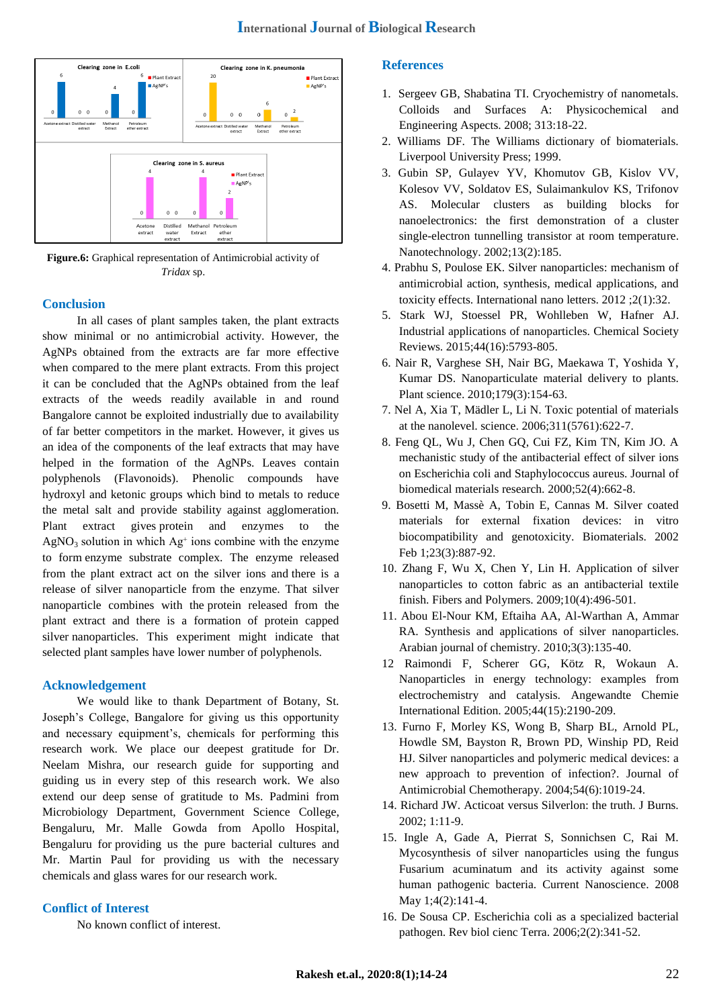

**Figure.6:** Graphical representation of Antimicrobial activity of *Tridax* sp.

# **Conclusion**

In all cases of plant samples taken, the plant extracts show minimal or no antimicrobial activity. However, the AgNPs obtained from the extracts are far more effective when compared to the mere plant extracts. From this project it can be concluded that the AgNPs obtained from the leaf extracts of the weeds readily available in and round Bangalore cannot be exploited industrially due to availability of far better competitors in the market. However, it gives us an idea of the components of the leaf extracts that may have helped in the formation of the AgNPs. Leaves contain polyphenols (Flavonoids). Phenolic compounds have hydroxyl and ketonic groups which bind to metals to reduce the metal salt and provide stability against agglomeration. Plant extract gives protein and enzymes to the  $AgNO<sub>3</sub>$  solution in which  $Ag<sup>+</sup>$  ions combine with the enzyme to form enzyme substrate complex. The enzyme released from the plant extract act on the silver ions and there is a release of silver nanoparticle from the enzyme. That silver nanoparticle combines with the protein released from the plant extract and there is a formation of protein capped silver nanoparticles. This experiment might indicate that selected plant samples have lower number of polyphenols.

# **Acknowledgement**

We would like to thank Department of Botany, St. Joseph"s College, Bangalore for giving us this opportunity and necessary equipment's, chemicals for performing this research work. We place our deepest gratitude for Dr. Neelam Mishra, our research guide for supporting and guiding us in every step of this research work. We also extend our deep sense of gratitude to Ms. Padmini from Microbiology Department, Government Science College, Bengaluru, Mr. Malle Gowda from Apollo Hospital, Bengaluru for providing us the pure bacterial cultures and Mr. Martin Paul for providing us with the necessary chemicals and glass wares for our research work.

### **Conflict of Interest**

No known conflict of interest.

# **References**

- 1. Sergeev GB, Shabatina TI. Cryochemistry of nanometals. Colloids and Surfaces A: Physicochemical and Engineering Aspects. 2008; 313:18-22.
- 2. Williams DF. The Williams dictionary of biomaterials. Liverpool University Press; 1999.
- 3. Gubin SP, Gulayev YV, Khomutov GB, Kislov VV, Kolesov VV, Soldatov ES, Sulaimankulov KS, Trifonov AS. Molecular clusters as building blocks for nanoelectronics: the first demonstration of a cluster single-electron tunnelling transistor at room temperature. Nanotechnology. 2002;13(2):185.
- 4. Prabhu S, Poulose EK. Silver nanoparticles: mechanism of antimicrobial action, synthesis, medical applications, and toxicity effects. International nano letters. 2012 ;2(1):32.
- 5. Stark WJ, Stoessel PR, Wohlleben W, Hafner AJ. Industrial applications of nanoparticles. Chemical Society Reviews. 2015;44(16):5793-805.
- 6. Nair R, Varghese SH, Nair BG, Maekawa T, Yoshida Y, Kumar DS. Nanoparticulate material delivery to plants. Plant science. 2010;179(3):154-63.
- 7. Nel A, Xia T, Mädler L, Li N. Toxic potential of materials at the nanolevel. science. 2006;311(5761):622-7.
- 8. Feng QL, Wu J, Chen GQ, Cui FZ, Kim TN, Kim JO. A mechanistic study of the antibacterial effect of silver ions on Escherichia coli and Staphylococcus aureus. Journal of biomedical materials research. 2000;52(4):662-8.
- 9. Bosetti M, Massè A, Tobin E, Cannas M. Silver coated materials for external fixation devices: in vitro biocompatibility and genotoxicity. Biomaterials. 2002 Feb 1;23(3):887-92.
- 10. Zhang F, Wu X, Chen Y, Lin H. Application of silver nanoparticles to cotton fabric as an antibacterial textile finish. Fibers and Polymers. 2009;10(4):496-501.
- 11. Abou El-Nour KM, Eftaiha AA, Al-Warthan A, Ammar RA. Synthesis and applications of silver nanoparticles. Arabian journal of chemistry. 2010;3(3):135-40.
- 12 Raimondi F, Scherer GG, Kötz R, Wokaun A. Nanoparticles in energy technology: examples from electrochemistry and catalysis. Angewandte Chemie International Edition. 2005;44(15):2190-209.
- 13. Furno F, Morley KS, Wong B, Sharp BL, Arnold PL, Howdle SM, Bayston R, Brown PD, Winship PD, Reid HJ. Silver nanoparticles and polymeric medical devices: a new approach to prevention of infection?. Journal of Antimicrobial Chemotherapy. 2004;54(6):1019-24.
- 14. Richard JW. Acticoat versus Silverlon: the truth. J Burns. 2002; 1:11-9.
- 15. Ingle A, Gade A, Pierrat S, Sonnichsen C, Rai M. Mycosynthesis of silver nanoparticles using the fungus Fusarium acuminatum and its activity against some human pathogenic bacteria. Current Nanoscience. 2008 May 1;4(2):141-4.
- 16. De Sousa CP. Escherichia coli as a specialized bacterial pathogen. Rev biol cienc Terra. 2006;2(2):341-52.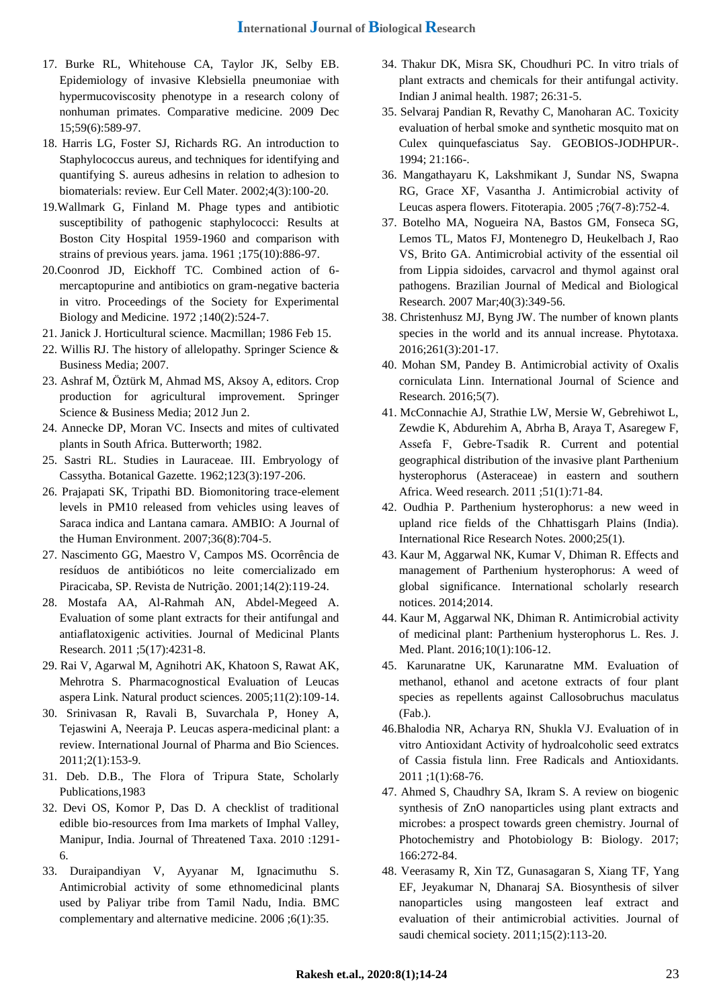- 17. Burke RL, Whitehouse CA, Taylor JK, Selby EB. Epidemiology of invasive Klebsiella pneumoniae with hypermucoviscosity phenotype in a research colony of nonhuman primates. Comparative medicine. 2009 Dec 15;59(6):589-97.
- 18. Harris LG, Foster SJ, Richards RG. An introduction to Staphylococcus aureus, and techniques for identifying and quantifying S. aureus adhesins in relation to adhesion to biomaterials: review. Eur Cell Mater. 2002;4(3):100-20.
- 19.Wallmark G, Finland M. Phage types and antibiotic susceptibility of pathogenic staphylococci: Results at Boston City Hospital 1959-1960 and comparison with strains of previous years. jama. 1961 ;175(10):886-97.
- 20.Coonrod JD, Eickhoff TC. Combined action of 6 mercaptopurine and antibiotics on gram-negative bacteria in vitro. Proceedings of the Society for Experimental Biology and Medicine. 1972 ;140(2):524-7.
- 21. Janick J. Horticultural science. Macmillan; 1986 Feb 15.
- 22. Willis RJ. The history of allelopathy. Springer Science & Business Media; 2007.
- 23. Ashraf M, Öztürk M, Ahmad MS, Aksoy A, editors. Crop production for agricultural improvement. Springer Science & Business Media; 2012 Jun 2.
- 24. Annecke DP, Moran VC. Insects and mites of cultivated plants in South Africa. Butterworth; 1982.
- 25. Sastri RL. Studies in Lauraceae. III. Embryology of Cassytha. Botanical Gazette. 1962;123(3):197-206.
- 26. Prajapati SK, Tripathi BD. Biomonitoring trace-element levels in PM10 released from vehicles using leaves of Saraca indica and Lantana camara. AMBIO: A Journal of the Human Environment. 2007;36(8):704-5.
- 27. Nascimento GG, Maestro V, Campos MS. Ocorrência de resíduos de antibióticos no leite comercializado em Piracicaba, SP. Revista de Nutrição. 2001;14(2):119-24.
- 28. Mostafa AA, Al-Rahmah AN, Abdel-Megeed A. Evaluation of some plant extracts for their antifungal and antiaflatoxigenic activities. Journal of Medicinal Plants Research. 2011 ;5(17):4231-8.
- 29. Rai V, Agarwal M, Agnihotri AK, Khatoon S, Rawat AK, Mehrotra S. Pharmacognostical Evaluation of Leucas aspera Link. Natural product sciences. 2005;11(2):109-14.
- 30. Srinivasan R, Ravali B, Suvarchala P, Honey A, Tejaswini A, Neeraja P. Leucas aspera-medicinal plant: a review. International Journal of Pharma and Bio Sciences. 2011;2(1):153-9.
- 31. Deb. D.B., The Flora of Tripura State, Scholarly Publications,1983
- 32. Devi OS, Komor P, Das D. A checklist of traditional edible bio-resources from Ima markets of Imphal Valley, Manipur, India. Journal of Threatened Taxa. 2010 :1291- 6.
- 33. Duraipandiyan V, Ayyanar M, Ignacimuthu S. Antimicrobial activity of some ethnomedicinal plants used by Paliyar tribe from Tamil Nadu, India. BMC complementary and alternative medicine. 2006 ;6(1):35.
- 34. Thakur DK, Misra SK, Choudhuri PC. In vitro trials of plant extracts and chemicals for their antifungal activity. Indian J animal health. 1987; 26:31-5.
- 35. Selvaraj Pandian R, Revathy C, Manoharan AC. Toxicity evaluation of herbal smoke and synthetic mosquito mat on Culex quinquefasciatus Say. GEOBIOS-JODHPUR-. 1994; 21:166-.
- 36. Mangathayaru K, Lakshmikant J, Sundar NS, Swapna RG, Grace XF, Vasantha J. Antimicrobial activity of Leucas aspera flowers. Fitoterapia. 2005 ;76(7-8):752-4.
- 37. Botelho MA, Nogueira NA, Bastos GM, Fonseca SG, Lemos TL, Matos FJ, Montenegro D, Heukelbach J, Rao VS, Brito GA. Antimicrobial activity of the essential oil from Lippia sidoides, carvacrol and thymol against oral pathogens. Brazilian Journal of Medical and Biological Research. 2007 Mar;40(3):349-56.
- 38. Christenhusz MJ, Byng JW. The number of known plants species in the world and its annual increase. Phytotaxa. 2016;261(3):201-17.
- 40. Mohan SM, Pandey B. Antimicrobial activity of Oxalis corniculata Linn. International Journal of Science and Research. 2016;5(7).
- 41. McConnachie AJ, Strathie LW, Mersie W, Gebrehiwot L, Zewdie K, Abdurehim A, Abrha B, Araya T, Asaregew F, Assefa F, Gebre‐Tsadik R. Current and potential geographical distribution of the invasive plant Parthenium hysterophorus (Asteraceae) in eastern and southern Africa. Weed research. 2011 ;51(1):71-84.
- 42. Oudhia P. Parthenium hysterophorus: a new weed in upland rice fields of the Chhattisgarh Plains (India). International Rice Research Notes. 2000;25(1).
- 43. Kaur M, Aggarwal NK, Kumar V, Dhiman R. Effects and management of Parthenium hysterophorus: A weed of global significance. International scholarly research notices. 2014;2014.
- 44. Kaur M, Aggarwal NK, Dhiman R. Antimicrobial activity of medicinal plant: Parthenium hysterophorus L. Res. J. Med. Plant. 2016;10(1):106-12.
- 45. Karunaratne UK, Karunaratne MM. Evaluation of methanol, ethanol and acetone extracts of four plant species as repellents against Callosobruchus maculatus (Fab.).
- 46.Bhalodia NR, Acharya RN, Shukla VJ. Evaluation of in vitro Antioxidant Activity of hydroalcoholic seed extratcs of Cassia fistula linn. Free Radicals and Antioxidants. 2011 ;1(1):68-76.
- 47. Ahmed S, Chaudhry SA, Ikram S. A review on biogenic synthesis of ZnO nanoparticles using plant extracts and microbes: a prospect towards green chemistry. Journal of Photochemistry and Photobiology B: Biology. 2017; 166:272-84.
- 48. Veerasamy R, Xin TZ, Gunasagaran S, Xiang TF, Yang EF, Jeyakumar N, Dhanaraj SA. Biosynthesis of silver nanoparticles using mangosteen leaf extract and evaluation of their antimicrobial activities. Journal of saudi chemical society. 2011;15(2):113-20.